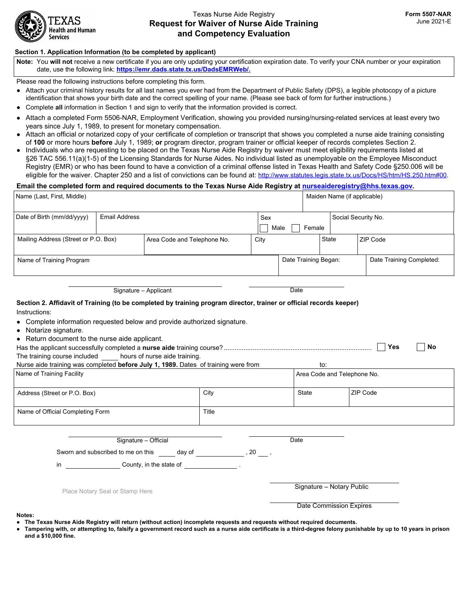

# Texas Nurse Aide Registry **Request for Waiver of Nurse Aide Training and Competency Evaluation**

#### **Section 1. Application Information (to be completed by applicant)**

**Note:** You **will not** receive a new certificate if you are only updating your certification expiration date. To verify your CNA number or your expiration date, use the following link: **https://emr.dads.state.tx.us/DadsEMRWeb/.**

Please read the following instructions before completing this form.

- Attach your criminal history results for all last names you ever had from the Department of Public Safety (DPS), a legible photocopy of a picture identification that shows your birth date and the correct spelling of your name. (Please see back of form for further instructions.)
- Complete **all** information in Section 1 and sign to verify that the information provided is correct.
- Attach a completed Form 5506-NAR, Employment Verification, showing you provided nursing/nursing-related services at least every two years since July 1, 1989, to present for monetary compensation.
- Attach an official or notarized copy of your certificate of completion or transcript that shows you completed a nurse aide training consisting of **100** or more hours **before** July 1, 1989; **or** program director, program trainer or official keeper of records completes Section 2.
- Individuals who are requesting to be placed on the Texas Nurse Aide Registry by waiver must meet eligibility requirements listed at §26 TAC 556.11(a)(1-5) of the Licensing Standards for Nurse Aides. No individual listed as unemployable on the Employee Misconduct Registry (EMR) or who has been found to have a conviction of a criminal offense listed in Texas Health and Safety Code §250.006 will be eligible for the waiver. Chapter 250 and a list of convictions can be found at: [http://www.statutes.legis.state.tx.us/Docs/HS/htm/HS.250.htm#00.](http://www.statutes.legis.state.tx.us/Docs/HS/htm/HS.250.htm#00)

## **Email the completed form and required documents to the Texas Nurse Aide Registry at [nurseaideregistry@hhs.texas.gov.](nurseaideregistry@hhs.texas.gov)**

| Name (Last, First, Middle)                                                                                                                                                                                                                                                                                                                                                                                                                                             |                       |                                                                                                                      |       |      |                           | Maiden Name (if applicable)        |                          |  |  |
|------------------------------------------------------------------------------------------------------------------------------------------------------------------------------------------------------------------------------------------------------------------------------------------------------------------------------------------------------------------------------------------------------------------------------------------------------------------------|-----------------------|----------------------------------------------------------------------------------------------------------------------|-------|------|---------------------------|------------------------------------|--------------------------|--|--|
| Date of Birth (mm/dd/yyyy)<br><b>Email Address</b>                                                                                                                                                                                                                                                                                                                                                                                                                     |                       |                                                                                                                      |       | Sex  |                           |                                    | Social Security No.      |  |  |
|                                                                                                                                                                                                                                                                                                                                                                                                                                                                        |                       |                                                                                                                      |       | Male | Female                    |                                    |                          |  |  |
| Mailing Address (Street or P.O. Box)                                                                                                                                                                                                                                                                                                                                                                                                                                   |                       | Area Code and Telephone No.                                                                                          |       | City |                           | State<br>$\vert \mathbf{v} \vert$  | ZIP Code                 |  |  |
| Name of Training Program                                                                                                                                                                                                                                                                                                                                                                                                                                               |                       |                                                                                                                      |       |      | Date Training Began:      |                                    | Date Training Completed: |  |  |
|                                                                                                                                                                                                                                                                                                                                                                                                                                                                        | Signature - Applicant |                                                                                                                      |       |      | Date                      |                                    |                          |  |  |
| Section 2. Affidavit of Training (to be completed by training program director, trainer or official records keeper)<br>Instructions:<br>Complete information requested below and provide authorized signature.<br>Notarize signature.<br>Return document to the nurse aide applicant.<br>The training course included hours of nurse aide training.<br>Nurse aide training was completed before July 1, 1989. Dates of training were from<br>Name of Training Facility |                       |                                                                                                                      |       |      |                           | to:<br>Area Code and Telephone No. | <b>Yes</b><br>No         |  |  |
| Address (Street or P.O. Box)                                                                                                                                                                                                                                                                                                                                                                                                                                           |                       |                                                                                                                      | City  |      |                           |                                    | ZIP Code                 |  |  |
| Name of Official Completing Form                                                                                                                                                                                                                                                                                                                                                                                                                                       |                       |                                                                                                                      | Title |      |                           |                                    |                          |  |  |
| in                                                                                                                                                                                                                                                                                                                                                                                                                                                                     | Signature - Official  | Sworn and subscribed to me on this _____ day of __________________, 20 ____,<br>County, in the state of the state of |       |      | Date                      |                                    |                          |  |  |
| Place Notary Seal or Stamp Here                                                                                                                                                                                                                                                                                                                                                                                                                                        |                       |                                                                                                                      |       |      | Signature - Notary Public |                                    |                          |  |  |
|                                                                                                                                                                                                                                                                                                                                                                                                                                                                        |                       |                                                                                                                      |       |      |                           | Date Commission Expires            |                          |  |  |

**Notes:**

- **● The Texas Nurse Aide Registry will return (without action) incomplete requests and requests without required documents.**
- **● Tampering with, or attempting to, falsify a government record such as a nurse aide certificate is a third-degree felony punishable by up to 10 years in prison and a \$10,000 fine.**